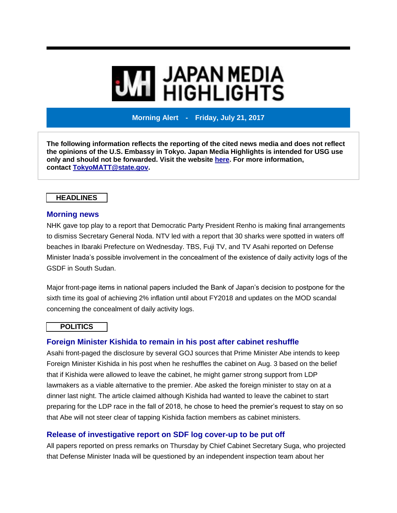# **MI JAPAN MEDIA<br>MI HIGHLIGHTS**

**Morning Alert - Friday, July 21, 2017**

**The following information reflects the reporting of the cited news media and does not reflect the opinions of the U.S. Embassy in Tokyo. Japan Media Highlights is intended for USG use only and should not be forwarded. Visit the website [here.](https://jmh.usembassy.gov/) For more information, contact [TokyoMATT@state.gov.](mailto:TokyoMATT@state.gov)**

# **HEADLINES**

### **Morning news**

NHK gave top play to a report that Democratic Party President Renho is making final arrangements to dismiss Secretary General Noda. NTV led with a report that 30 sharks were spotted in waters off beaches in Ibaraki Prefecture on Wednesday. TBS, Fuji TV, and TV Asahi reported on Defense Minister Inada's possible involvement in the concealment of the existence of daily activity logs of the GSDF in South Sudan.

Major front-page items in national papers included the Bank of Japan's decision to postpone for the sixth time its goal of achieving 2% inflation until about FY2018 and updates on the MOD scandal concerning the concealment of daily activity logs.

### **POLITICS**

# **Foreign Minister Kishida to remain in his post after cabinet reshuffle**

Asahi front-paged the disclosure by several GOJ sources that Prime Minister Abe intends to keep Foreign Minister Kishida in his post when he reshuffles the cabinet on Aug. 3 based on the belief that if Kishida were allowed to leave the cabinet, he might garner strong support from LDP lawmakers as a viable alternative to the premier. Abe asked the foreign minister to stay on at a dinner last night. The article claimed although Kishida had wanted to leave the cabinet to start preparing for the LDP race in the fall of 2018, he chose to heed the premier's request to stay on so that Abe will not steer clear of tapping Kishida faction members as cabinet ministers.

# **Release of investigative report on SDF log cover-up to be put off**

All papers reported on press remarks on Thursday by Chief Cabinet Secretary Suga, who projected that Defense Minister Inada will be questioned by an independent inspection team about her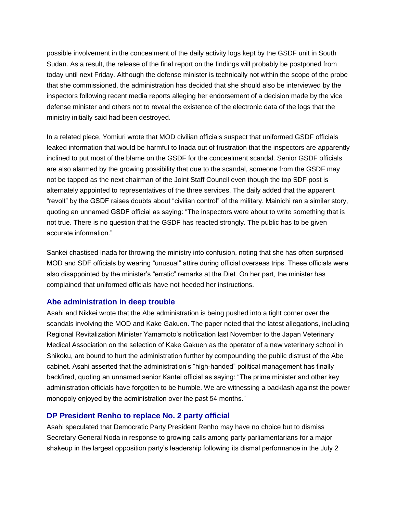possible involvement in the concealment of the daily activity logs kept by the GSDF unit in South Sudan. As a result, the release of the final report on the findings will probably be postponed from today until next Friday. Although the defense minister is technically not within the scope of the probe that she commissioned, the administration has decided that she should also be interviewed by the inspectors following recent media reports alleging her endorsement of a decision made by the vice defense minister and others not to reveal the existence of the electronic data of the logs that the ministry initially said had been destroyed.

In a related piece, Yomiuri wrote that MOD civilian officials suspect that uniformed GSDF officials leaked information that would be harmful to Inada out of frustration that the inspectors are apparently inclined to put most of the blame on the GSDF for the concealment scandal. Senior GSDF officials are also alarmed by the growing possibility that due to the scandal, someone from the GSDF may not be tapped as the next chairman of the Joint Staff Council even though the top SDF post is alternately appointed to representatives of the three services. The daily added that the apparent "revolt" by the GSDF raises doubts about "civilian control" of the military. Mainichi ran a similar story, quoting an unnamed GSDF official as saying: "The inspectors were about to write something that is not true. There is no question that the GSDF has reacted strongly. The public has to be given accurate information."

Sankei chastised Inada for throwing the ministry into confusion, noting that she has often surprised MOD and SDF officials by wearing "unusual" attire during official overseas trips. These officials were also disappointed by the minister's "erratic" remarks at the Diet. On her part, the minister has complained that uniformed officials have not heeded her instructions.

# **Abe administration in deep trouble**

Asahi and Nikkei wrote that the Abe administration is being pushed into a tight corner over the scandals involving the MOD and Kake Gakuen. The paper noted that the latest allegations, including Regional Revitalization Minister Yamamoto's notification last November to the Japan Veterinary Medical Association on the selection of Kake Gakuen as the operator of a new veterinary school in Shikoku, are bound to hurt the administration further by compounding the public distrust of the Abe cabinet. Asahi asserted that the administration's "high-handed" political management has finally backfired, quoting an unnamed senior Kantei official as saying: "The prime minister and other key administration officials have forgotten to be humble. We are witnessing a backlash against the power monopoly enjoyed by the administration over the past 54 months."

### **DP President Renho to replace No. 2 party official**

Asahi speculated that Democratic Party President Renho may have no choice but to dismiss Secretary General Noda in response to growing calls among party parliamentarians for a major shakeup in the largest opposition party's leadership following its dismal performance in the July 2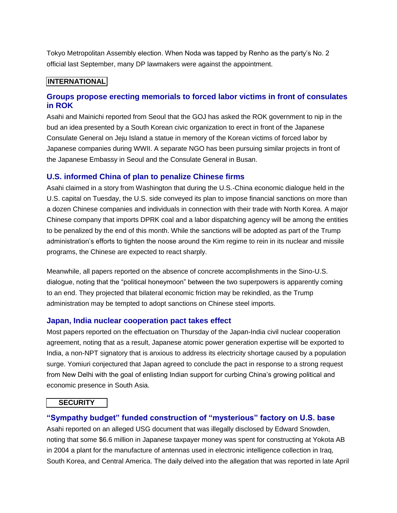Tokyo Metropolitan Assembly election. When Noda was tapped by Renho as the party's No. 2 official last September, many DP lawmakers were against the appointment.

# **INTERNATIONAL**

# **Groups propose erecting memorials to forced labor victims in front of consulates in ROK**

Asahi and Mainichi reported from Seoul that the GOJ has asked the ROK government to nip in the bud an idea presented by a South Korean civic organization to erect in front of the Japanese Consulate General on Jeju Island a statue in memory of the Korean victims of forced labor by Japanese companies during WWII. A separate NGO has been pursuing similar projects in front of the Japanese Embassy in Seoul and the Consulate General in Busan.

### **U.S. informed China of plan to penalize Chinese firms**

Asahi claimed in a story from Washington that during the U.S.-China economic dialogue held in the U.S. capital on Tuesday, the U.S. side conveyed its plan to impose financial sanctions on more than a dozen Chinese companies and individuals in connection with their trade with North Korea. A major Chinese company that imports DPRK coal and a labor dispatching agency will be among the entities to be penalized by the end of this month. While the sanctions will be adopted as part of the Trump administration's efforts to tighten the noose around the Kim regime to rein in its nuclear and missile programs, the Chinese are expected to react sharply.

Meanwhile, all papers reported on the absence of concrete accomplishments in the Sino-U.S. dialogue, noting that the "political honeymoon" between the two superpowers is apparently coming to an end. They projected that bilateral economic friction may be rekindled, as the Trump administration may be tempted to adopt sanctions on Chinese steel imports.

### **Japan, India nuclear cooperation pact takes effect**

Most papers reported on the effectuation on Thursday of the Japan-India civil nuclear cooperation agreement, noting that as a result, Japanese atomic power generation expertise will be exported to India, a non-NPT signatory that is anxious to address its electricity shortage caused by a population surge. Yomiuri conjectured that Japan agreed to conclude the pact in response to a strong request from New Delhi with the goal of enlisting Indian support for curbing China's growing political and economic presence in South Asia.

### **SECURITY**

### **"Sympathy budget" funded construction of "mysterious" factory on U.S. base**

Asahi reported on an alleged USG document that was illegally disclosed by Edward Snowden, noting that some \$6.6 million in Japanese taxpayer money was spent for constructing at Yokota AB in 2004 a plant for the manufacture of antennas used in electronic intelligence collection in Iraq, South Korea, and Central America. The daily delved into the allegation that was reported in late April